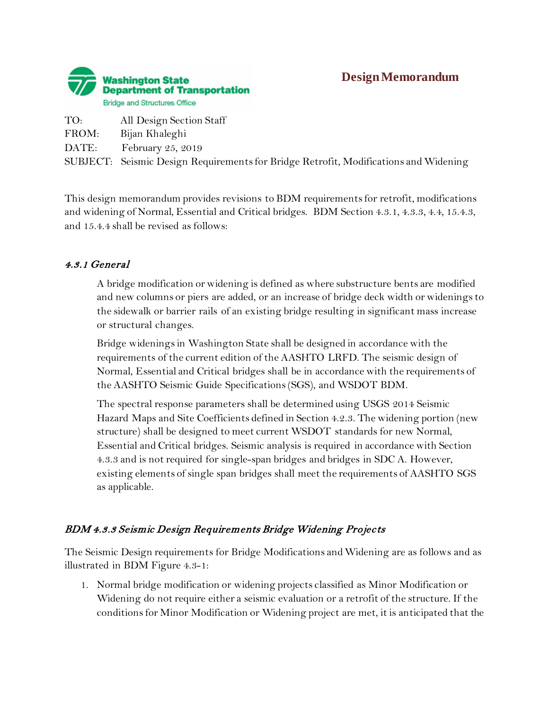

# **Design Memorandum**

TO: All Design Section Staff FROM: Bijan Khaleghi DATE: February 25, 2019 SUBJECT: Seismic Design Requirements for Bridge Retrofit, Modifications and Widening

This design memorandum provides revisions to BDM requirementsfor retrofit, modifications and widening of Normal, Essential and Critical bridges. BDM Section 4.3.1, 4.3.3, 4.4, 15.4.3, and 15.4.4 shall be revised as follows:

#### 4.3.1 General

A bridge modification or widening is defined as where substructure bents are modified and new columns or piers are added, or an increase of bridge deck width or widenings to the sidewalk or barrier rails of an existing bridge resulting in significant mass increase or structural changes.

Bridge widenings in Washington State shall be designed in accordance with the requirements of the current edition of the AASHTO LRFD. The seismic design of Normal, Essential and Critical bridges shall be in accordance with the requirements of the AASHTO Seismic Guide Specifications (SGS), and WSDOT BDM.

The spectral response parameters shall be determined using USGS 2014 Seismic Hazard Maps and Site Coefficients defined in Section 4.2.3. The widening portion (new structure) shall be designed to meet current WSDOT standards for new Normal, Essential and Critical bridges. Seismic analysis is required in accordance with Section 4.3.3 and is not required for single-span bridges and bridges in SDC A. However, existing elements of single span bridges shall meet the requirements of AASHTO SGS as applicable.

#### BDM 4.3.3 Seismic Design Requirements Bridge Widening Projects

The Seismic Design requirements for Bridge Modifications and Widening are as follows and as illustrated in BDM Figure 4.3-1:

1. Normal bridge modification or widening projects classified as Minor Modification or Widening do not require either a seismic evaluation or a retrofit of the structure. If the conditions for Minor Modification or Widening project are met, it is anticipated that the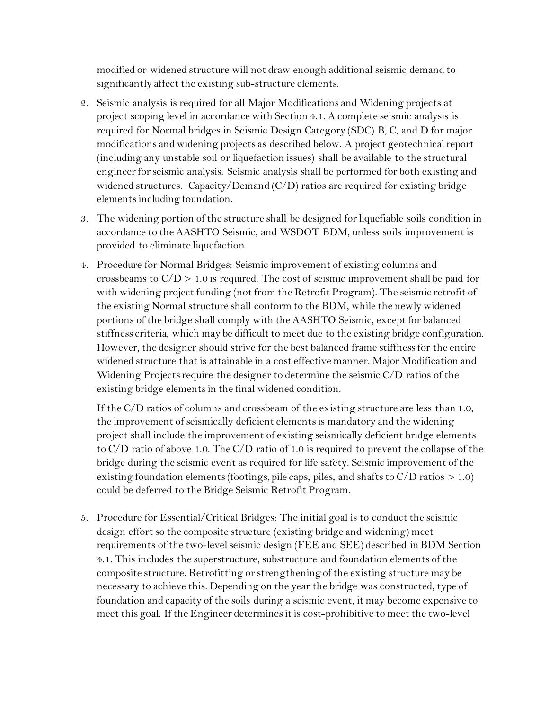modified or widened structure will not draw enough additional seismic demand to significantly affect the existing sub-structure elements.

- 2. Seismic analysis is required for all Major Modifications and Widening projects at project scoping level in accordance with Section 4.1. A complete seismic analysis is required for Normal bridges in Seismic Design Category (SDC) B, C, and D for major modifications and widening projects as described below. A project geotechnical report (including any unstable soil or liquefaction issues) shall be available to the structural engineer for seismic analysis. Seismic analysis shall be performed for both existing and widened structures. Capacity/Demand (C/D) ratios are required for existing bridge elements including foundation.
- 3. The widening portion of the structure shall be designed for liquefiable soils condition in accordance to the AASHTO Seismic, and WSDOT BDM, unless soils improvement is provided to eliminate liquefaction.
- 4. Procedure for Normal Bridges: Seismic improvement of existing columns and crossbeams to  $C/D > 1.0$  is required. The cost of seismic improvement shall be paid for with widening project funding (not from the Retrofit Program). The seismic retrofit of the existing Normal structure shall conform to the BDM, while the newly widened portions of the bridge shall comply with the AASHTO Seismic, except for balanced stiffness criteria, which may be difficult to meet due to the existing bridge configuration. However, the designer should strive for the best balanced frame stiffness for the entire widened structure that is attainable in a cost effective manner. Major Modification and Widening Projects require the designer to determine the seismic C/D ratios of the existing bridge elements in the final widened condition.

If the C/D ratios of columns and crossbeam of the existing structure are less than 1.0, the improvement of seismically deficient elements is mandatory and the widening project shall include the improvement of existing seismically deficient bridge elements to C/D ratio of above 1.0. The C/D ratio of 1.0 is required to prevent the collapse of the bridge during the seismic event as required for life safety. Seismic improvement of the existing foundation elements (footings, pile caps, piles, and shafts to  $C/D$  ratios  $> 1.0$ ) could be deferred to the Bridge Seismic Retrofit Program.

5. Procedure for Essential/Critical Bridges: The initial goal is to conduct the seismic design effort so the composite structure (existing bridge and widening) meet requirements of the two-level seismic design (FEE and SEE) described in BDM Section 4.1. This includes the superstructure, substructure and foundation elements of the composite structure. Retrofitting or strengthening of the existing structure may be necessary to achieve this. Depending on the year the bridge was constructed, type of foundation and capacity of the soils during a seismic event, it may become expensive to meet this goal. If the Engineer determines it is cost-prohibitive to meet the two-level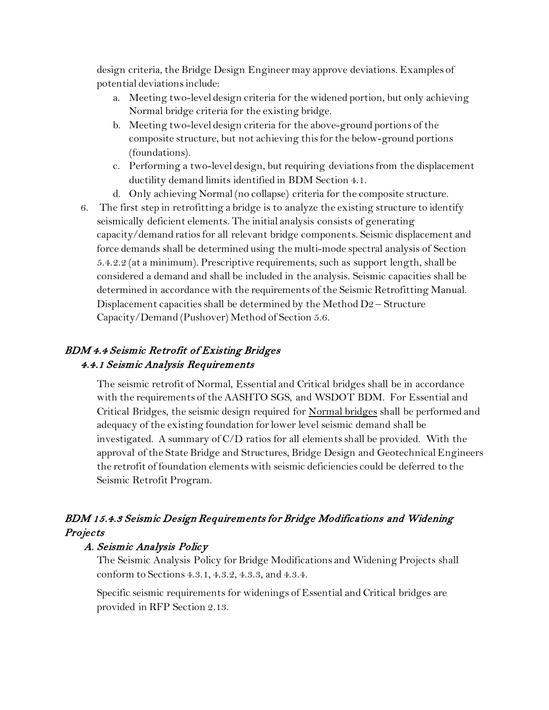design criteria, the Bridge Design Engineer may approve deviations. Examples of potential deviations include:

- a. Meeting two-level design criteria for the widened portion, but only achieving Normal bridge criteria for the existing bridge.
- b. Meeting two-level design criteria for the above-ground portions of the composite structure, but not achieving this for the below-ground portions (foundations).
- c. Performing a two-level design, but requiring deviations from the displacement ductility demand limits identified in BDM Section 4.1.
- d. Only achieving Normal (no collapse) criteria for the composite structure.
- 6. The first step in retrofitting a bridge is to analyze the existing structure to identify seismically deficient elements. The initial analysis consists of generating capacity/demand ratios for all relevant bridge components. Seismic displacement and force demands shall be determined using the multi-mode spectral analysis of Section 5.4.2.2 (at a minimum). Prescriptive requirements, such as support length, shall be considered a demand and shall be included in the analysis. Seismic capacities shall be determined in accordance with the requirements of the Seismic Retrofitting Manual. Displacement capacities shall be determined by the Method D2 – Structure Capacity/Demand (Pushover) Method of Section 5.6.

## BDM 4.4 Seismic Retrofit of Existing Bridges 4.4.1 Seismic Analysis Requirements

The seismic retrofit of Normal, Essential and Critical bridges shall be in accordance with the requirements of the AASHTO SGS, and WSDOT BDM. For Essential and Critical Bridges, the seismic design required for Normal bridges shall be performed and adequacy of the existing foundation for lower level seismic demand shall be investigated. A summary of C/D ratios for all elements shall be provided. With the approval of the State Bridge and Structures, Bridge Design and Geotechnical Engineers the retrofit of foundation elements with seismic deficiencies could be deferred to the Seismic Retrofit Program.

## BDM 15.4.3 Seismic Design Requirements for Bridge Modifications and Widening **Projects**

#### A. Seismic Analysis Policy

The Seismic Analysis Policy for Bridge Modifications and Widening Projects shall conform to Sections 4.3.1, 4.3.2, 4.3.3, and 4.3.4.

Specific seismic requirements for widenings of Essential and Critical bridges are provided in RFP Section 2.13.